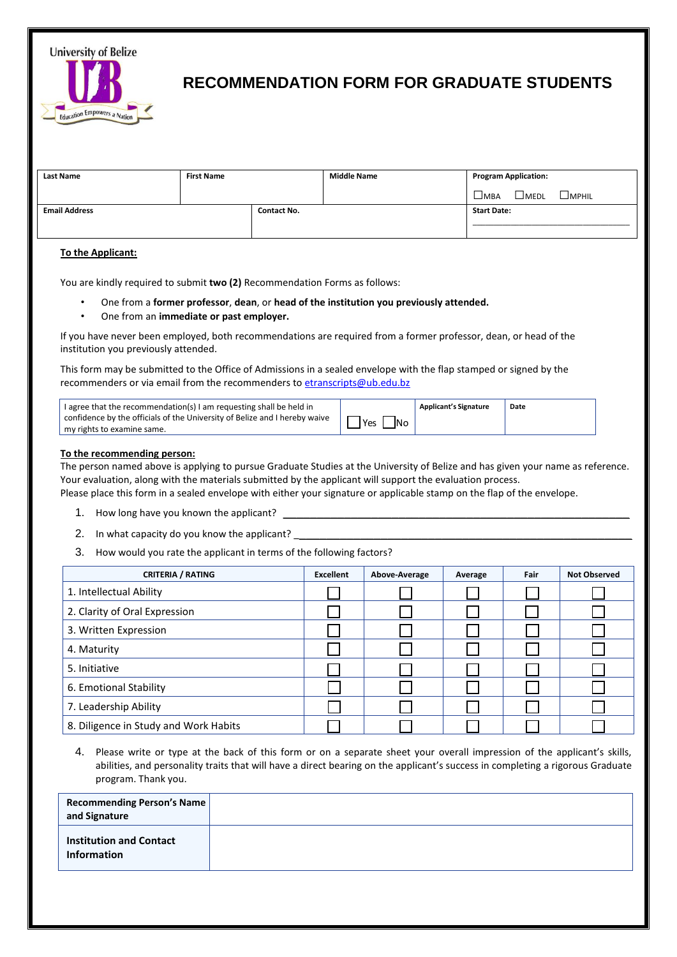

# **RECOMMENDATION FORM FOR GRADUATE STUDENTS**

| <b>Last Name</b>     | <b>First Name</b> |                    | <b>Middle Name</b> |                    | <b>Program Application:</b> |  |
|----------------------|-------------------|--------------------|--------------------|--------------------|-----------------------------|--|
|                      |                   |                    |                    | $\square$ MBA      | $\sqcup$ MEDL<br>∃мьніг     |  |
| <b>Email Address</b> |                   | <b>Contact No.</b> |                    | <b>Start Date:</b> |                             |  |
|                      |                   |                    |                    |                    |                             |  |
|                      |                   |                    |                    |                    |                             |  |

## **To the Applicant:**

You are kindly required to submit **two (2)** Recommendation Forms as follows:

- One from a **former professor**, **dean**, or **head of the institution you previously attended.**
- One from an **immediate or past employer.**

If you have never been employed, both recommendations are required from a former professor, dean, or head of the institution you previously attended.

This form may be submitted to the Office of Admissions in a sealed envelope with the flap stamped or signed by the recommenders or via email from the recommenders to [etranscripts@ub.edu.bz](mailto:etranscripts@ub.edu.bz)

| I agree that the recommendation(s) I am requesting shall be held in                                      |                     | <b>Applicant's Signature</b> | Date |
|----------------------------------------------------------------------------------------------------------|---------------------|------------------------------|------|
| confidence by the officials of the University of Belize and I hereby waive<br>my rights to examine same. | 'Yes<br><b>IN</b> o |                              |      |

### **To the recommending person:**

The person named above is applying to pursue Graduate Studies at the University of Belize and has given your name as reference. Your evaluation, along with the materials submitted by the applicant will support the evaluation process.

Please place this form in a sealed envelope with either your signature or applicable stamp on the flap of the envelope.

- 1. How long have you known the applicant?
- 2. In what capacity do you know the applicant?
- 3. How would you rate the applicant in terms of the following factors?

| <b>CRITERIA / RATING</b>              | <b>Excellent</b> | Above-Average | Average | Fair | <b>Not Observed</b> |
|---------------------------------------|------------------|---------------|---------|------|---------------------|
| 1. Intellectual Ability               |                  |               |         |      |                     |
| 2. Clarity of Oral Expression         |                  |               |         |      |                     |
| 3. Written Expression                 |                  |               |         |      |                     |
| 4. Maturity                           |                  |               |         |      |                     |
| 5. Initiative                         |                  |               |         |      |                     |
| 6. Emotional Stability                |                  |               |         |      |                     |
| 7. Leadership Ability                 |                  |               |         |      |                     |
| 8. Diligence in Study and Work Habits |                  |               |         |      |                     |

4. Please write or type at the back of this form or on a separate sheet your overall impression of the applicant's skills, abilities, and personality traits that will have a direct bearing on the applicant's success in completing a rigorous Graduate program. Thank you.

| <b>Recommending Person's Name</b><br>and Signature   |  |
|------------------------------------------------------|--|
| <b>Institution and Contact</b><br><b>Information</b> |  |